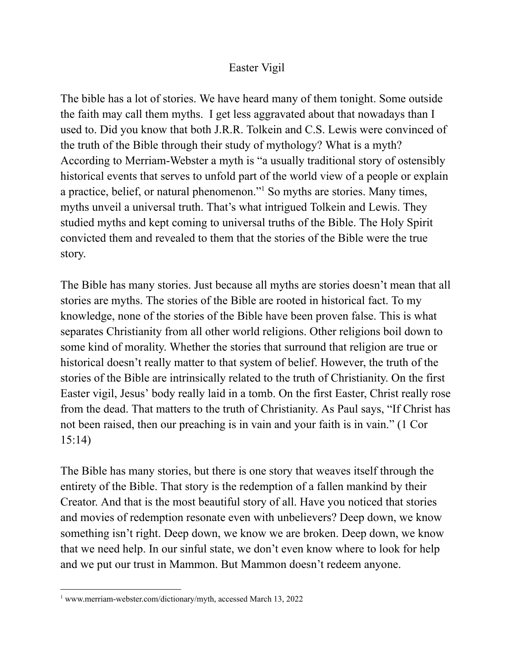## Easter Vigil

The bible has a lot of stories. We have heard many of them tonight. Some outside the faith may call them myths. I get less aggravated about that nowadays than I used to. Did you know that both J.R.R. Tolkein and C.S. Lewis were convinced of the truth of the Bible through their study of mythology? What is a myth? According to Merriam-Webster a myth is "a usually traditional story of ostensibly historical events that serves to unfold part of the world view of a people or explain a practice, belief, or natural phenomenon." <sup>1</sup> So myths are stories. Many times, myths unveil a universal truth. That's what intrigued Tolkein and Lewis. They studied myths and kept coming to universal truths of the Bible. The Holy Spirit convicted them and revealed to them that the stories of the Bible were the true story.

The Bible has many stories. Just because all myths are stories doesn't mean that all stories are myths. The stories of the Bible are rooted in historical fact. To my knowledge, none of the stories of the Bible have been proven false. This is what separates Christianity from all other world religions. Other religions boil down to some kind of morality. Whether the stories that surround that religion are true or historical doesn't really matter to that system of belief. However, the truth of the stories of the Bible are intrinsically related to the truth of Christianity. On the first Easter vigil, Jesus' body really laid in a tomb. On the first Easter, Christ really rose from the dead. That matters to the truth of Christianity. As Paul says, "If Christ has not been raised, then our preaching is in vain and your faith is in vain." (1 Cor 15:14)

The Bible has many stories, but there is one story that weaves itself through the entirety of the Bible. That story is the redemption of a fallen mankind by their Creator. And that is the most beautiful story of all. Have you noticed that stories and movies of redemption resonate even with unbelievers? Deep down, we know something isn't right. Deep down, we know we are broken. Deep down, we know that we need help. In our sinful state, we don't even know where to look for help and we put our trust in Mammon. But Mammon doesn't redeem anyone.

<sup>1</sup> www.merriam-webster.com/dictionary/myth, accessed March 13, 2022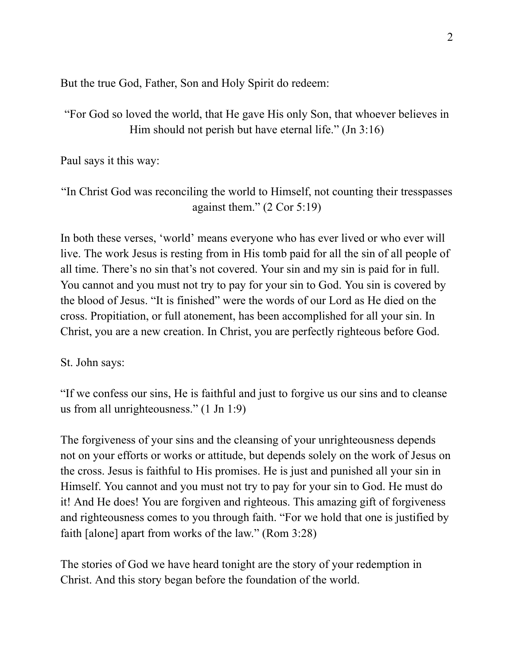But the true God, Father, Son and Holy Spirit do redeem:

"For God so loved the world, that He gave His only Son, that whoever believes in Him should not perish but have eternal life." (Jn 3:16)

Paul says it this way:

"In Christ God was reconciling the world to Himself, not counting their tresspasses against them." (2 Cor 5:19)

In both these verses, 'world' means everyone who has ever lived or who ever will live. The work Jesus is resting from in His tomb paid for all the sin of all people of all time. There's no sin that's not covered. Your sin and my sin is paid for in full. You cannot and you must not try to pay for your sin to God. You sin is covered by the blood of Jesus. "It is finished" were the words of our Lord as He died on the cross. Propitiation, or full atonement, has been accomplished for all your sin. In Christ, you are a new creation. In Christ, you are perfectly righteous before God.

St. John says:

"If we confess our sins, He is faithful and just to forgive us our sins and to cleanse us from all unrighteousness." (1 Jn 1:9)

The forgiveness of your sins and the cleansing of your unrighteousness depends not on your efforts or works or attitude, but depends solely on the work of Jesus on the cross. Jesus is faithful to His promises. He is just and punished all your sin in Himself. You cannot and you must not try to pay for your sin to God. He must do it! And He does! You are forgiven and righteous. This amazing gift of forgiveness and righteousness comes to you through faith. "For we hold that one is justified by faith [alone] apart from works of the law." (Rom 3:28)

The stories of God we have heard tonight are the story of your redemption in Christ. And this story began before the foundation of the world.